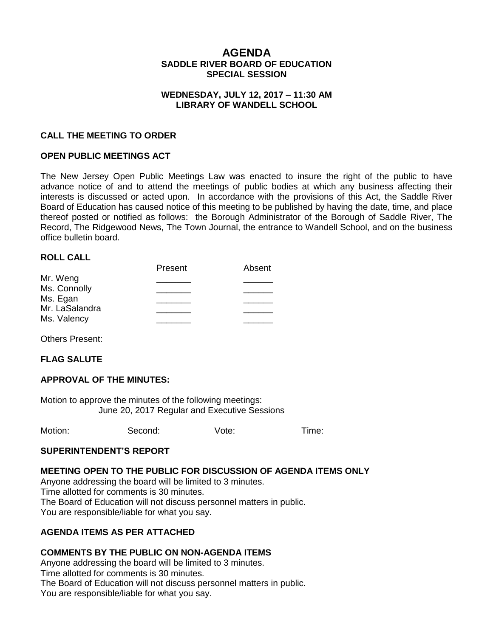# **AGENDA SADDLE RIVER BOARD OF EDUCATION SPECIAL SESSION**

### **WEDNESDAY, JULY 12, 2017 – 11:30 AM LIBRARY OF WANDELL SCHOOL**

### **CALL THE MEETING TO ORDER**

### **OPEN PUBLIC MEETINGS ACT**

The New Jersey Open Public Meetings Law was enacted to insure the right of the public to have advance notice of and to attend the meetings of public bodies at which any business affecting their interests is discussed or acted upon. In accordance with the provisions of this Act, the Saddle River Board of Education has caused notice of this meeting to be published by having the date, time, and place thereof posted or notified as follows: the Borough Administrator of the Borough of Saddle River, The Record, The Ridgewood News, The Town Journal, the entrance to Wandell School, and on the business office bulletin board.

### **ROLL CALL**

|                | Present | Absent |
|----------------|---------|--------|
| Mr. Weng       |         |        |
| Ms. Connolly   |         |        |
| Ms. Egan       |         |        |
| Mr. LaSalandra |         |        |
| Ms. Valency    |         |        |
|                |         |        |

Others Present:

### **FLAG SALUTE**

### **APPROVAL OF THE MINUTES:**

Motion to approve the minutes of the following meetings: June 20, 2017 Regular and Executive Sessions

Motion: Second: Vote: Time:

### **SUPERINTENDENT'S REPORT**

#### **MEETING OPEN TO THE PUBLIC FOR DISCUSSION OF AGENDA ITEMS ONLY**

Anyone addressing the board will be limited to 3 minutes.

Time allotted for comments is 30 minutes.

The Board of Education will not discuss personnel matters in public.

You are responsible/liable for what you say.

## **AGENDA ITEMS AS PER ATTACHED**

### **COMMENTS BY THE PUBLIC ON NON-AGENDA ITEMS**

Anyone addressing the board will be limited to 3 minutes. Time allotted for comments is 30 minutes. The Board of Education will not discuss personnel matters in public.

You are responsible/liable for what you say.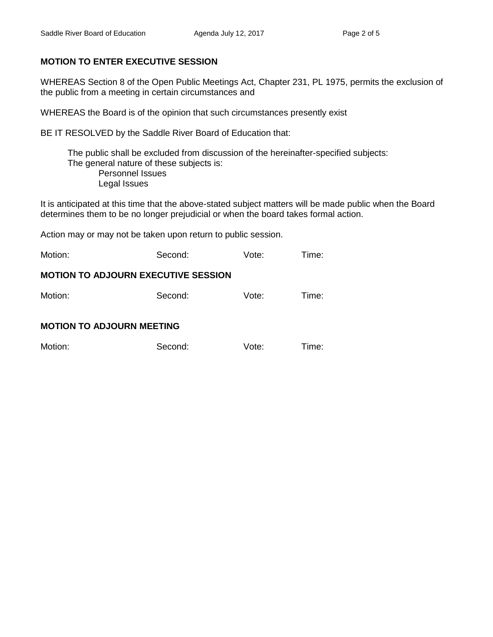# **MOTION TO ENTER EXECUTIVE SESSION**

WHEREAS Section 8 of the Open Public Meetings Act, Chapter 231, PL 1975, permits the exclusion of the public from a meeting in certain circumstances and

WHEREAS the Board is of the opinion that such circumstances presently exist

BE IT RESOLVED by the Saddle River Board of Education that:

 The public shall be excluded from discussion of the hereinafter-specified subjects: The general nature of these subjects is: Personnel Issues Legal Issues

It is anticipated at this time that the above-stated subject matters will be made public when the Board determines them to be no longer prejudicial or when the board takes formal action.

Action may or may not be taken upon return to public session.

| Motion:                                    | Second: | Vote: | Time: |  |  |  |  |
|--------------------------------------------|---------|-------|-------|--|--|--|--|
| <b>MOTION TO ADJOURN EXECUTIVE SESSION</b> |         |       |       |  |  |  |  |
| Motion:                                    | Second: | Vote: | Time: |  |  |  |  |
| <b>MOTION TO ADJOURN MEETING</b>           |         |       |       |  |  |  |  |
| Motion:                                    | Second: | Vote: | Time: |  |  |  |  |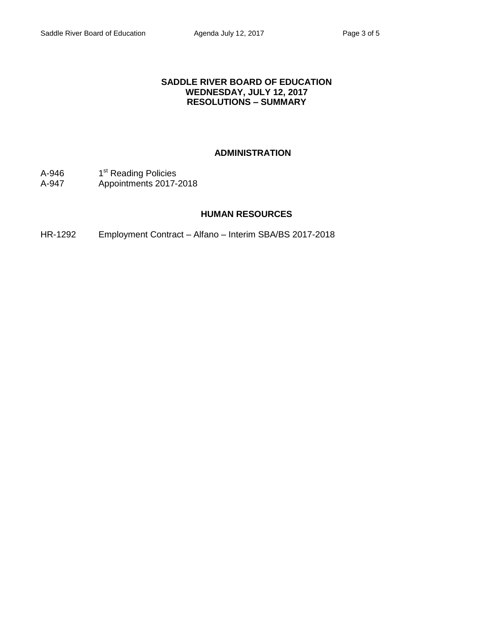### **SADDLE RIVER BOARD OF EDUCATION WEDNESDAY, JULY 12, 2017 RESOLUTIONS – SUMMARY**

## **ADMINISTRATION**

- A-946 1<sup>st</sup> Reading Policies
- A-947 Appointments 2017-2018

### **HUMAN RESOURCES**

HR-1292 Employment Contract – Alfano – Interim SBA/BS 2017-2018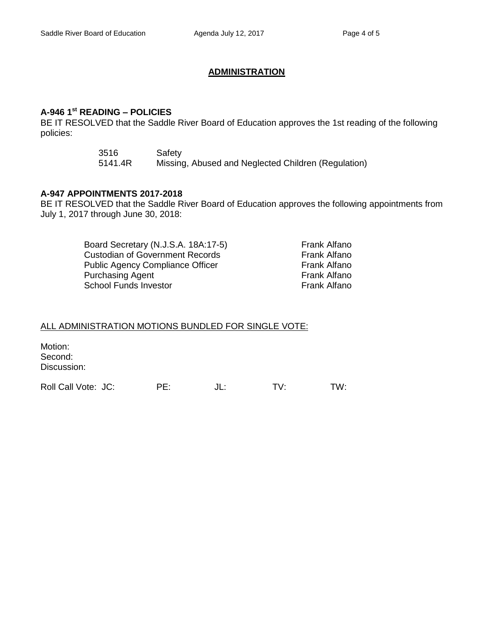## **ADMINISTRATION**

# **A-946 1st READING – POLICIES**

BE IT RESOLVED that the Saddle River Board of Education approves the 1st reading of the following policies:

| 3516    | Safety                                              |
|---------|-----------------------------------------------------|
| 5141.4R | Missing, Abused and Neglected Children (Regulation) |

### **A-947 APPOINTMENTS 2017-2018**

BE IT RESOLVED that the Saddle River Board of Education approves the following appointments from July 1, 2017 through June 30, 2018:

| Board Secretary (N.J.S.A. 18A:17-5)     | <b>Frank Alfano</b> |
|-----------------------------------------|---------------------|
| <b>Custodian of Government Records</b>  | Frank Alfano        |
| <b>Public Agency Compliance Officer</b> | Frank Alfano        |
| <b>Purchasing Agent</b>                 | Frank Alfano        |
| School Funds Investor                   | Frank Alfano        |

## ALL ADMINISTRATION MOTIONS BUNDLED FOR SINGLE VOTE:

Motion: Second: Discussion: Roll Call Vote: JC: PE: JL: TV: TW: